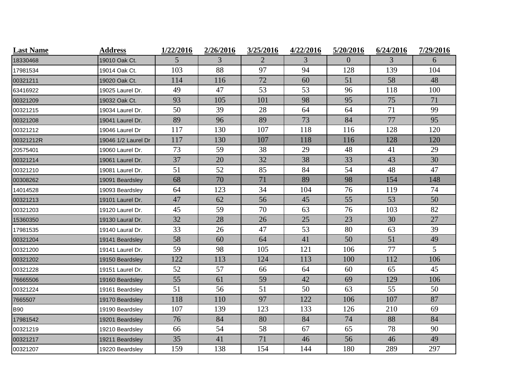| <b>Last Name</b> | <b>Address</b>      | 1/22/2016 | 2/26/2016 | 3/25/2016 | 4/22/2016 | 5/20/2016      | 6/24/2016 | 7/29/2016 |
|------------------|---------------------|-----------|-----------|-----------|-----------|----------------|-----------|-----------|
| 18330468         | 19010 Oak Ct.       | 5         | 3         | 2         | 3         | $\overline{0}$ | 3         | 6         |
| 17981534         | 19014 Oak Ct.       | 103       | 88        | 97        | 94        | 128            | 139       | 104       |
| 00321211         | 19020 Oak Ct.       | 114       | 116       | 72        | 60        | 51             | 58        | 48        |
| 63416922         | 19025 Laurel Dr.    | 49        | 47        | 53        | 53        | 96             | 118       | 100       |
| 00321209         | 19032 Oak Ct.       | 93        | 105       | 101       | 98        | 95             | 75        | 71        |
| 00321215         | 19034 Laurel Dr.    | 50        | 39        | 28        | 64        | 64             | 71        | 99        |
| 00321208         | 19041 Laurel Dr.    | 89        | 96        | 89        | 73        | 84             | 77        | 95        |
| 00321212         | 19046 Laurel Dr     | 117       | 130       | 107       | 118       | 116            | 128       | 120       |
| 00321212R        | 19046 1/2 Laurel Dr | 117       | 130       | 107       | 118       | 116            | 128       | 120       |
| 20575401         | 19060 Laurel Dr.    | 73        | 59        | 38        | 29        | 48             | 41        | 29        |
| 00321214         | 19061 Laurel Dr.    | 37        | 20        | 32        | 38        | 33             | 43        | 30        |
| 00321210         | 19081 Laurel Dr.    | 51        | 52        | 85        | 84        | 54             | 48        | 47        |
| 00308262         | 19091 Beardsley     | 68        | 70        | 71        | 89        | 98             | 154       | 148       |
| 14014528         | 19093 Beardsley     | 64        | 123       | 34        | 104       | 76             | 119       | 74        |
| 00321213         | 19101 Laurel Dr.    | 47        | 62        | 56        | 45        | 55             | 53        | 50        |
| 00321203         | 19120 Laurel Dr.    | 45        | 59        | 70        | 63        | 76             | 103       | 82        |
| 15360350         | 19130 Laural Dr.    | 32        | 28        | 26        | 25        | 23             | 30        | 27        |
| 17981535         | 19140 Laural Dr.    | 33        | 26        | 47        | 53        | 80             | 63        | 39        |
| 00321204         | 19141 Beardsley     | 58        | 60        | 64        | 41        | 50             | 51        | 49        |
| 00321200         | 19141 Laurel Dr.    | 59        | 98        | 105       | 121       | 106            | 77        | 5         |
| 00321202         | 19150 Beardsley     | 122       | 113       | 124       | 113       | 100            | 112       | 106       |
| 00321228         | 19151 Laurel Dr.    | 52        | 57        | 66        | 64        | 60             | 65        | 45        |
| 76665506         | 19160 Beardsley     | 55        | 61        | 59        | 42        | 69             | 129       | 106       |
| 00321224         | 19161 Beardsley     | 51        | 56        | 51        | 50        | 63             | 55        | 50        |
| 7665507          | 19170 Beardsley     | 118       | 110       | 97        | 122       | 106            | 107       | 87        |
| <b>B90</b>       | 19190 Beardsley     | 107       | 139       | 123       | 133       | 126            | 210       | 69        |
| 17981542         | 19201 Beardsley     | 76        | 84        | 80        | 84        | 74             | 88        | 84        |
| 00321219         | 19210 Beardsley     | 66        | 54        | 58        | 67        | 65             | 78        | 90        |
| 00321217         | 19211 Beardsley     | 35        | 41        | 71        | 46        | 56             | 46        | 49        |
| 00321207         | 19220 Beardsley     | 159       | 138       | 154       | 144       | 180            | 289       | 297       |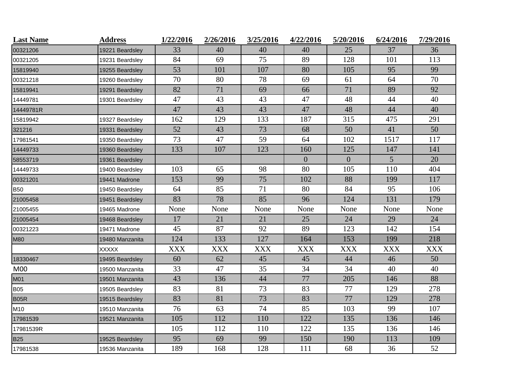| <b>Last Name</b> | <b>Address</b>  | 1/22/2016  | 2/26/2016  | 3/25/2016  | 4/22/2016      | 5/20/2016      | 6/24/2016  | 7/29/2016  |
|------------------|-----------------|------------|------------|------------|----------------|----------------|------------|------------|
| 00321206         | 19221 Beardsley | 33         | 40         | 40         | 40             | 25             | 37         | 36         |
| 00321205         | 19231 Beardsley | 84         | 69         | 75         | 89             | 128            | 101        | 113        |
| 15819940         | 19255 Beardsley | 53         | 101        | 107        | 80             | 105            | 95         | 99         |
| 00321218         | 19260 Beardsley | 70         | 80         | 78         | 69             | 61             | 64         | 70         |
| 15819941         | 19291 Beardsley | 82         | 71         | 69         | 66             | 71             | 89         | 92         |
| 14449781         | 19301 Beardsley | 47         | 43         | 43         | 47             | 48             | 44         | 40         |
| 14449781R        |                 | 47         | 43         | 43         | 47             | 48             | 44         | 40         |
| 15819942         | 19327 Beardsley | 162        | 129        | 133        | 187            | 315            | 475        | 291        |
| 321216           | 19331 Beardsley | 52         | 43         | 73         | 68             | 50             | 41         | 50         |
| 17981541         | 19350 Beardsley | 73         | 47         | 59         | 64             | 102            | 1517       | 117        |
| 14449733         | 19360 Beardsley | 133        | 107        | 123        | 160            | 125            | 147        | 141        |
| 58553719         | 19361 Beardsley |            |            |            | $\overline{0}$ | $\overline{0}$ | 5          | 20         |
| 14449733         | 19400 Beardsley | 103        | 65         | 98         | 80             | 105            | 110        | 404        |
| 00321201         | 19441 Madrone   | 153        | 99         | 75         | 102            | 88             | 199        | 117        |
| B50              | 19450 Beardsley | 64         | 85         | 71         | 80             | 84             | 95         | 106        |
| 21005458         | 19451 Beardsley | 83         | 78         | 85         | 96             | 124            | 131        | 179        |
| 21005455         | 19465 Madrone   | None       | None       | None       | None           | None           | None       | None       |
| 21005454         | 19468 Beardsley | 17         | 21         | 21         | 25             | 24             | 29         | 24         |
| 00321223         | 19471 Madrone   | 45         | 87         | 92         | 89             | 123            | 142        | 154        |
| M80              | 19480 Manzanita | 124        | 133        | 127        | 164            | 153            | 199        | 218        |
|                  | <b>XXXXX</b>    | <b>XXX</b> | <b>XXX</b> | <b>XXX</b> | <b>XXX</b>     | <b>XXX</b>     | <b>XXX</b> | <b>XXX</b> |
| 18330467         | 19495 Beardsley | 60         | 62         | 45         | 45             | 44             | 46         | 50         |
| M00              | 19500 Manzanita | 33         | 47         | 35         | 34             | 34             | 40         | 40         |
| M01              | 19501 Manzanita | 43         | 136        | 44         | 77             | 205            | 146        | 88         |
| <b>B05</b>       | 19505 Beardsley | 83         | 81         | 73         | 83             | 77             | 129        | 278        |
| B05R             | 19515 Beardsley | 83         | 81         | 73         | 83             | 77             | 129        | 278        |
| M10              | 19510 Manzanita | 76         | 63         | 74         | 85             | 103            | 99         | 107        |
| 17981539         | 19521 Manzanita | 105        | 112        | 110        | 122            | 135            | 136        | 146        |
| 17981539R        |                 | 105        | 112        | 110        | 122            | 135            | 136        | 146        |
| <b>B25</b>       | 19525 Beardsley | 95         | 69         | 99         | 150            | 190            | 113        | 109        |
| 17981538         | 19536 Manzanita | 189        | 168        | 128        | 111            | 68             | 36         | 52         |